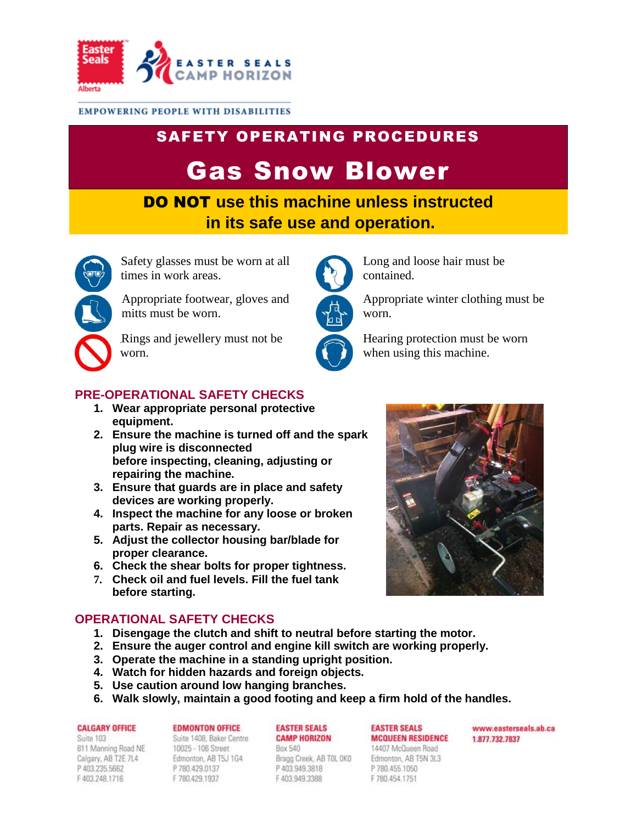

#### **EMPOWERING PEOPLE WITH DISABILITIES**

# SAFETY OPERATING PROCEDURES

# Gas Snow Blower

DO NOT **use this machine unless instructed in its safe use and operation.**



Safety glasses must be worn at all times in work areas.

Appropriate footwear, gloves and mitts must be worn.

Rings and jewellery must not be worn.

## **PRE-OPERATIONAL SAFETY CHECKS**

- **1. Wear appropriate personal protective equipment.**
- **2. Ensure the machine is turned off and the spark plug wire is disconnected before inspecting, cleaning, adjusting or repairing the machine.**
- **3. Ensure that guards are in place and safety devices are working properly.**
- **4. Inspect the machine for any loose or broken parts. Repair as necessary.**
- **5. Adjust the collector housing bar/blade for proper clearance.**
- **6. Check the shear bolts for proper tightness.**
- **7. Check oil and fuel levels. Fill the fuel tank before starting.**

# **OPERATIONAL SAFETY CHECKS**

- **1. Disengage the clutch and shift to neutral before starting the motor.**
- **2. Ensure the auger control and engine kill switch are working properly.**
- **3. Operate the machine in a standing upright position.**
- **4. Watch for hidden hazards and foreign objects.**
- **5. Use caution around low hanging branches.**
- **6. Walk slowly, maintain a good footing and keep a firm hold of the handles.**

#### **CALGARY OFFICE**

Suite 103 811 Manning Road NE Calgary, AB T2E 7L4 P 403 235 5662 F403.248.1716

#### **EDMONTON OFFICE** Suite 1408, Baker Centre

10025 - 106 Street Edmonton, AB T5J 1G4 P 780.429.0137 F 780.429.1937

#### **EASTER SEALS CAMP HORIZON**

Box 540 Bragg Creek, AB TOL OKO P403.949.3818 F 403.949.3388

### **EASTER SEALS MCQUEEN RESIDENCE**

14407 McQueen Road Edmonton, AB T5N 3L3 P 780.455.1050 F 780.454.1751

www.easterseals.ab.ca 1,877,732,7837





Long and loose hair must be contained.

when using this machine.

Appropriate winter clothing must be worn.

Hearing protection must be worn